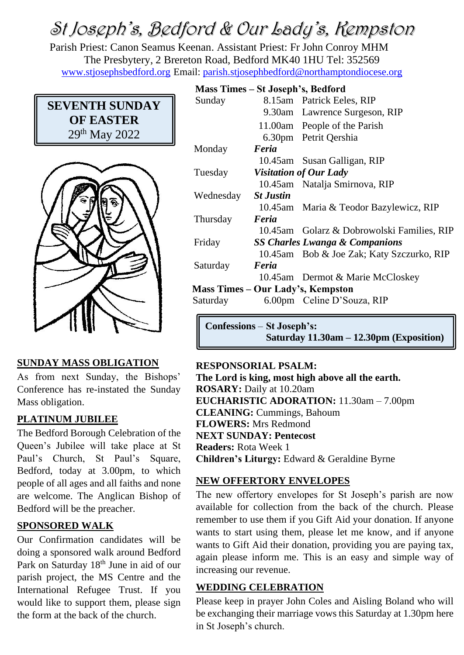# St Joseph's, Bedford & Our Lady's, Kempston

Parish Priest: Canon Seamus Keenan. Assistant Priest: Fr John Conroy MHM The Presbytery, 2 Brereton Road, Bedford MK40 1HU Tel: 352569 [www.stjosephsbedford.org](http://www.stjosephsbedford.org/) Email: [parish.stjosephbedford@northamptondiocese.org](mailto:parish.stjosephbedford@northamptondiocese.org)





# **SUNDAY MASS OBLIGATION**

As from next Sunday, the Bishops' Conference has re-instated the Sunday Mass obligation.

# **PLATINUM JUBILEE**

The Bedford Borough Celebration of the Queen's Jubilee will take place at St Paul's Church, St Paul's Square, Bedford, today at 3.00pm, to which people of all ages and all faiths and none are welcome. The Anglican Bishop of Bedford will be the preacher.

# **SPONSORED WALK**

Our Confirmation candidates will be doing a sponsored walk around Bedford Park on Saturday 18<sup>th</sup> June in aid of our parish project, the MS Centre and the International Refugee Trust. If you would like to support them, please sign the form at the back of the church.

#### **Mass Times – St Joseph's, Bedford**

| Sunday    |                                           | 8.15am Patrick Eeles, RIP                  |
|-----------|-------------------------------------------|--------------------------------------------|
|           |                                           | 9.30am Lawrence Surgeson, RIP              |
|           |                                           | 11.00am People of the Parish               |
|           |                                           | 6.30pm Petrit Qershia                      |
| Monday    | Feria                                     |                                            |
|           |                                           | 10.45am Susan Galligan, RIP                |
| Tuesday   | <b>Visitation of Our Lady</b>             |                                            |
|           |                                           | 10.45am Natalja Smirnova, RIP              |
| Wednesday | <b>St Justin</b>                          |                                            |
|           |                                           | 10.45am Maria & Teodor Bazylewicz, RIP     |
| Thursday  | Feria                                     |                                            |
|           |                                           | 10.45am Golarz & Dobrowolski Families, RIP |
| Friday    | <b>SS Charles Lwanga &amp; Companions</b> |                                            |
|           |                                           | 10.45am Bob & Joe Zak; Katy Szczurko, RIP  |
| Saturday  | Feria                                     |                                            |
|           |                                           | 10.45am Dermot & Marie McCloskey           |
|           |                                           | <b>Mass Times – Our Lady's, Kempston</b>   |
| Saturday  |                                           | 6.00pm Celine D'Souza, RIP                 |
|           |                                           |                                            |
|           | Confecciona St Locanh's                   |                                            |

**Confessions** – **St Joseph's: Saturday 11.30am – 12.30pm (Exposition)**

#### **RESPONSORIAL PSALM:**

**The Lord is king, most high above all the earth. ROSARY:** Daily at 10.20am **EUCHARISTIC ADORATION:** 11.30am – 7.00pm **CLEANING:** Cummings, Bahoum **FLOWERS:** Mrs Redmond **NEXT SUNDAY: Pentecost Readers:** Rota Week 1 **Children's Liturgy:** Edward & Geraldine Byrne

#### **NEW OFFERTORY ENVELOPES**

The new offertory envelopes for St Joseph's parish are now available for collection from the back of the church. Please remember to use them if you Gift Aid your donation. If anyone wants to start using them, please let me know, and if anyone wants to Gift Aid their donation, providing you are paying tax, again please inform me. This is an easy and simple way of increasing our revenue.

#### **WEDDING CELEBRATION**

Please keep in prayer John Coles and Aisling Boland who will be exchanging their marriage vows this Saturday at 1.30pm here in St Joseph's church.